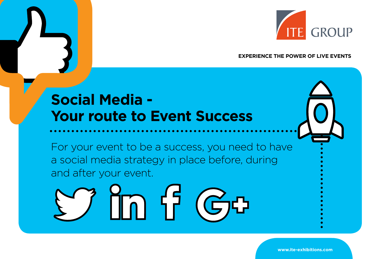

#### **EXPERIENCE THE POWER OF LIVE EVENTS**

## **Social Media - Your route to Event Success**

For your event to be a success, you need to have a social media strategy in place before, during and after your event.



**www.ite-exhibitions.com**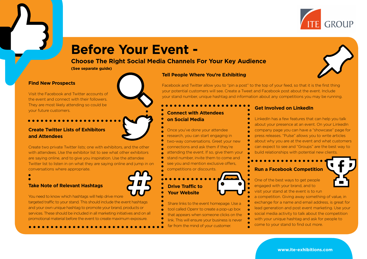

## **Before Your Event -**

#### **Choose The Right Social Media Channels For Your Key Audience**

**(See separate guide)**

#### **Find New Prospects**

Visit the Facebook and Twitter accounts of the event and connect with their followers. They are most likely attending so could be your future customers. **Connect with Attendees**

#### **Create Twitter Lists of Exhibitors and Attendees**

Create two private Twitter lists; one with exhibitors, and the other with attendees. Use the exhibitor list to see what other exhibitors are saying online, and to give you inspiration. Use the attendee Twitter list to listen in on what they are saying online and jump in on conversations where appropriate.



#### **Take Note of Relevant Hashtags**

You need to know which hashtags will help drive more targeted traffic to your stand. This should include the event hashtags and your own unique hashtag to promote your brand, products or services. These should be included in all marketing initiatives and on all promotional material before the event to create maximum exposure.

**Tell People Where You're Exhibiting**

Facebook and Twitter allow you to "pin a post" to the top of your feed, so that it is the first thing your potential customers will see. Create a Tweet and Facebook post about the event. Include your stand number, unique hashtag and information about any competitions you may be running.

## **on Social Media**

- Once you've done your attendee
- research, you can start engaging in
- two-way conversations. Greet your new
- connections and ask them if they're
- attending the event. If so, give them your stand number, invite them to come and see you and mention exclusive offers, competitions or discounts.

### **Drive Traffic to Your Website**

Share links to the event homepage. Use a tool called Openr to create a pop-up box that appears when someone clicks on the link. This will ensure your business is never

far from the mind of your customer.

#### **Get Involved on LinkedIn**

LinkedIn has a few features that can help you talk about your presence at an event. On your LinkedIn company page you can have a "showcase" page for press releases. "Pulse" allows you to write articles about why you are at the event and what customers can expect to see and "Groups" are the best way to build relationships with potential new clients.

#### **Run a Facebook Competition**

One of the best ways to get people

a competition. Giving away something of value, in exchange for a name and email address, is great for lead generation and post event marketing. Use your social media activity to talk about the competition with your unique hashtag and ask for people to come to your stand to find out more.

engaged with your brand, and to visit your stand at the event is to run

**www.ite-exhibitions.com**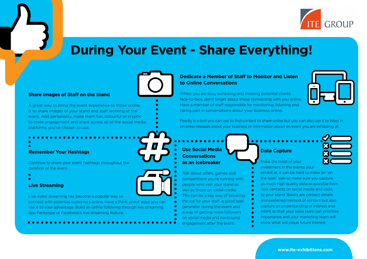

## **During Your Event - Share Everything!**

#### **Dedicate a Member of Staff to Monitor and Listen to Online Conversations**

Whilst you are busy exhibiting and meeting potential clients face-to-face, don't forget about those connecting with you online. Have a member of staff responsible for monitoring, listening and taking part in conversations about your business online.



Feedly is a tool you can use to find content to share online but you can also use it to listen in on press releases about your business or information about an event you are exhibiting at.

**Use Social Media Conversations as an Icebreaker**

Talk about offers, games and competitions you're running with people who visit your stand as well as those on social media. This can be a key way of breaking the ice for your staff, a good lead generater during the event and a way of getting more followers on social media and continuing engagement after the event.

#### **Data Capture**

Make the most of your investment in the events your exhibit at, it can be hard to make an "on" the spot" sale so make sure you capture as much high quality data as possible from new contacts on social media and visits to your stand. Basics are contact details and preferred method of contact but also capture an understanding of interest and intent so that your sales team can prioritise importance and your marketing team will know what will pique future interest.

#### **Share Images of Staff on the Stand**

A great way to bring the event experience to those online, is to share images of your stand and staff working at the event. Add personality, make them fun, colourful or cryptic to invite engagement and share across all of the social media platforms you've chosen to use.

#### **Remember Your Hashtags**

Continue to share your event hashtags throughout the duration of the event.

**Live Streaming**

Live video streaming has become a popular way to

connect with potential customers online. Have a think about ways you can use it to your advantage. Build an online following through live streaming app Periscope or Facebook's live streaming feature.